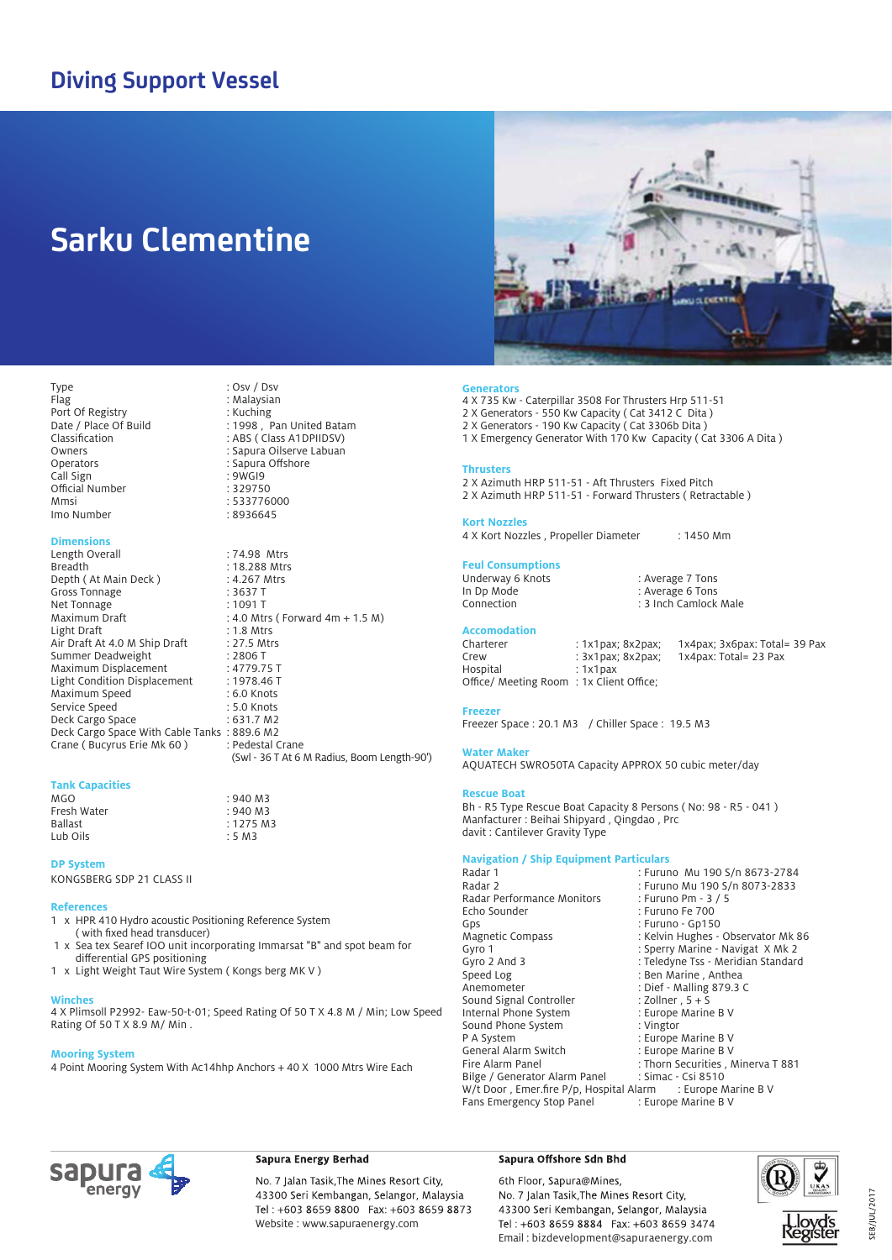## **Diving Support Vessel**

## **Sarku Clementine**

Type : Osv / Dsv

Call Sign in the Suite of the Suite of the Suite of the Suite of the Suite of the Suite of the Suite of the Su<br>Contract of the Suite of the Suite of the Suite of the Suite of the Suite of the Suite of the Suite of the Suit

Mmsi : 533776000

Length Overall : 74.98 Mtrs

Date / Place Of Build : 1998, Pan United Batam Classification : ABS ( Class A1DPIIDSV) Owners : Sapura Oilserve Labuan<br>
Operators<br>
Operators
Sapura Offshore

Port Of Registry<br>Date / Place Of Build

Official Number

Imo Number

**Dimensions**

: Malaysian<br>: Kuching

: Sapura Offshore<br>· 9WGI9

: 18.288 Mtrs<br>: 4.267 Mtrs

: 4.0 Mtrs ( Forward  $4m + 1.5 M$ )<br>: 1.8 Mtrs

(Swl - 36 T At 6 M Radius, Boom Length-90')



**Generators** 4 X 735 Kw - Caterpillar 3508 For Thrusters Hrp 511-51

- 2 X Generators 550 Kw Capacity ( Cat 3412 C Dita )
- 2 X Generators 190 Kw Capacity ( Cat 3306b Dita )
- 1 X Emergency Generator With 170 Kw Capacity ( Cat 3306 A Dita )

#### **Thrusters**

- 2 X Azimuth HRP 511-51 Aft Thrusters Fixed Pitch
- 2 X Azimuth HRP 511-51 Forward Thrusters ( Retractable )

#### **Kort Nozzles**

4 X Kort Nozzles, Propeller Diameter : 1450 Mm

## **Feul Consumptions**

| Underway 6 Knots | : Average 7 Tons      |
|------------------|-----------------------|
| In Dp Mode       | : Average 6 Tons      |
| Connection       | : 3 Inch Camlock Male |

## **Accomodation**

Crew : 3x1pax; 8x2pax; 1x4pax: Total= 23 Pax Hospital : 1x1pax Office/ Meeting Room : 1x Client Office;

: 1x1pax; 8x2pax; 1x4pax; 3x6pax: Total= 39 Pax

#### **Freezer**

Freezer Space : 20.1 M3 / Chiller Space : 19.5 M3

#### **Water Maker**

AQUATECH SWRO50TA Capacity APPROX 50 cubic meter/day

#### **Rescue Boat**

Bh - R5 Type Rescue Boat Capacity 8 Persons ( No: 98 - R5 - 041 ) Manfacturer : Beihai Shipyard , Qingdao , Prc davit : Cantilever Gravity Type

### **Navigation / Ship Equipment Particulars**

| Radar 1                                                        | : Furuno Mu 190 S/n 8673-2784      |
|----------------------------------------------------------------|------------------------------------|
| Radar 2                                                        | : Furuno Mu 190 S/n 8073-2833      |
| Radar Performance Monitors                                     | : Furuno Pm - 3 / 5                |
| Echo Sounder                                                   | : Furuno Fe 700                    |
| Gps                                                            | : Furuno - Gp150                   |
| Magnetic Compass                                               | : Kelvin Hughes - Observator Mk 86 |
| Gyro 1                                                         | : Sperry Marine - Navigat X Mk 2   |
| Gyro 2 And 3                                                   | : Teledyne Tss - Meridian Standard |
| Speed Log                                                      | : Ben Marine, Anthea               |
| Anemometer                                                     | : Dief - Malling 879.3 C           |
| Sound Signal Controller                                        | : Zollner, $5 + S$                 |
| Internal Phone System                                          | : Europe Marine B V                |
| Sound Phone System                                             | : Vingtor                          |
| P A System                                                     | : Europe Marine B V                |
| General Alarm Switch                                           | : Europe Marine B V                |
| Fire Alarm Panel                                               | : Thorn Securities, Minerva T 881  |
| Bilge / Generator Alarm Panel                                  | : Simac - Csi 8510                 |
| W/t Door, Emer.fire $P/p$ , Hospital Alarm : Europe Marine B V |                                    |
| Fans Emergency Stop Panel                                      | : Europe Marine B V                |

#### **Tank Capacities** Depth (At Main Deck ) : 4.267 /<br>Gross Tonnage : 3637 T Gross Tonnage : 3637 T<br>Net Tonnage : 1091 T Net Tonnage<br>Maximum Draft Light Draft<br>Air Draft At 4.0 M Ship Draft : 27.5 Mtrs Air Draft At 4.0 M Ship Draft : 27.5 Mi<br>Summer Deadweight : 2806 T Summer Deadweight : 2806 T<br>
Maximum Displacement : 4779.75 T Maximum Displacement : 4779.75 T<br>Light Condition Displacement : 1978.46 T Light Condition Displacement : 1978.46<br>Maximum Speed : 6.0 Knots Maximum Speed : 6.0 Knots<br>Service Speed : 5.0 Knots Service Speed : 5.0 Knots<br>Deck Cargo Space : 631.7 M2 Deck Cargo Space Deck Cargo Space With Cable Tanks : 889.6 M2<br>Crane ( Bucyrus Erie Mk 60 ) : Pedestal Crane Crane ( Bucyrus Erie Mk 60 )

. . . . .<br>Fresh Water<br>Ballast Lub Oils

#### **DP System**

KONGSBERG SDP 21 CLASS II

#### **References**

- 1 x HPR 410 Hydro acoustic Positioning Reference System ( with fixed head transducer)
- 1 x Sea tex Searef IOO unit incorporating Immarsat "B" and spot beam for differential GPS positioning
- 1 x Light Weight Taut Wire System ( Kongs berg MK V )

#### **Winches**

4 X Plimsoll P2992- Eaw-50-t-01; Speed Rating Of 50 T X 4.8 M / Min; Low Speed Rating Of 50 T X 8.9 M/ Min .

 $: 940 M3$ <br> $: 940 M3$ 

 $: 1275 M3$ <br> $: 5 M3$ 

#### **Mooring System**

4 Point Mooring System With Ac14hhp Anchors + 40 X 1000 Mtrs Wire Each



### Sapura Energy Berhad

No. 7 Jalan Tasik, The Mines Resort City, 43300 Seri Kembangan, Selangor, Malaysia Tel: +603 8659 8800 Fax: +603 8659 8873 Website : www.sapuraenergy.com

#### Sapura Offshore Sdn Bhd

6th Floor, Sapura@Mines, No. 7 Jalan Tasik, The Mines Resort City, 43300 Seri Kembangan, Selangor, Malaysia Tel: +603 8659 8884 Fax: +603 8659 3474 Email : bizdevelopment@sapuraenergy.com